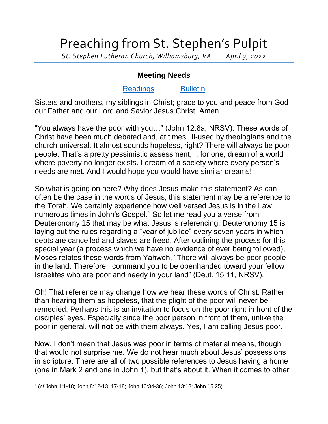## Preaching from St. Stephen's Pulpit

*St. Stephen Lutheran Church, Williamsburg, VA April 3, 2022*

## **Meeting Needs**

## [Readings](https://lectionary.library.vanderbilt.edu/texts.php?id=122) [Bulletin](http://www.saintstephenlutheran.net/sunday-bulletins/)

Sisters and brothers, my siblings in Christ; grace to you and peace from God our Father and our Lord and Savior Jesus Christ. Amen.

"You always have the poor with you…" (John 12:8a, NRSV). These words of Christ have been much debated and, at times, ill-used by theologians and the church universal. It almost sounds hopeless, right? There will always be poor people. That's a pretty pessimistic assessment; I, for one, dream of a world where poverty no longer exists. I dream of a society where every person's needs are met. And I would hope you would have similar dreams!

So what is going on here? Why does Jesus make this statement? As can often be the case in the words of Jesus, this statement may be a reference to the Torah. We certainly experience how well versed Jesus is in the Law numerous times in John's Gospel.<sup>1</sup> So let me read you a verse from Deuteronomy 15 that may be what Jesus is referencing. Deuteronomy 15 is laying out the rules regarding a "year of jubilee" every seven years in which debts are cancelled and slaves are freed. After outlining the process for this special year (a process which we have no evidence of ever being followed), Moses relates these words from Yahweh, "There will always be poor people in the land. Therefore I command you to be openhanded toward your fellow Israelites who are poor and needy in your land" (Deut. 15:11, NRSV).

Oh! That reference may change how we hear these words of Christ. Rather than hearing them as hopeless, that the plight of the poor will never be remedied. Perhaps this is an invitation to focus on the poor right in front of the disciples' eyes. Especially since the poor person in front of them, unlike the poor in general, will **not** be with them always. Yes, I am calling Jesus poor.

Now, I don't mean that Jesus was poor in terms of material means, though that would not surprise me. We do not hear much about Jesus' possessions in scripture. There are all of two possible references to Jesus having a home (one in Mark 2 and one in John 1), but that's about it. When it comes to other

l 1 (*cf* John 1:1-18; John 8:12-13, 17-18; John 10:34-36; John 13:18; John 15:25)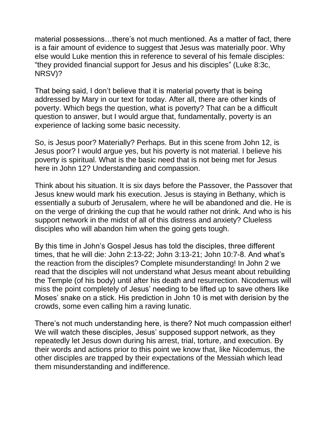material possessions…there's not much mentioned. As a matter of fact, there is a fair amount of evidence to suggest that Jesus was materially poor. Why else would Luke mention this in reference to several of his female disciples: "they provided financial support for Jesus and his disciples" (Luke 8:3c, NRSV)?

That being said, I don't believe that it is material poverty that is being addressed by Mary in our text for today. After all, there are other kinds of poverty. Which begs the question, what is poverty? That can be a difficult question to answer, but I would argue that, fundamentally, poverty is an experience of lacking some basic necessity.

So, is Jesus poor? Materially? Perhaps. But in this scene from John 12, is Jesus poor? I would argue yes, but his poverty is not material. I believe his poverty is spiritual. What is the basic need that is not being met for Jesus here in John 12? Understanding and compassion.

Think about his situation. It is six days before the Passover, the Passover that Jesus knew would mark his execution. Jesus is staying in Bethany, which is essentially a suburb of Jerusalem, where he will be abandoned and die. He is on the verge of drinking the cup that he would rather not drink. And who is his support network in the midst of all of this distress and anxiety? Clueless disciples who will abandon him when the going gets tough.

By this time in John's Gospel Jesus has told the disciples, three different times, that he will die: John 2:13-22; John 3:13-21; John 10:7-8. And what's the reaction from the disciples? Complete misunderstanding! In John 2 we read that the disciples will not understand what Jesus meant about rebuilding the Temple (of his body) until after his death and resurrection. Nicodemus will miss the point completely of Jesus' needing to be lifted up to save others like Moses' snake on a stick. His prediction in John 10 is met with derision by the crowds, some even calling him a raving lunatic.

There's not much understanding here, is there? Not much compassion either! We will watch these disciples, Jesus' supposed support network, as they repeatedly let Jesus down during his arrest, trial, torture, and execution. By their words and actions prior to this point we know that, like Nicodemus, the other disciples are trapped by their expectations of the Messiah which lead them misunderstanding and indifference.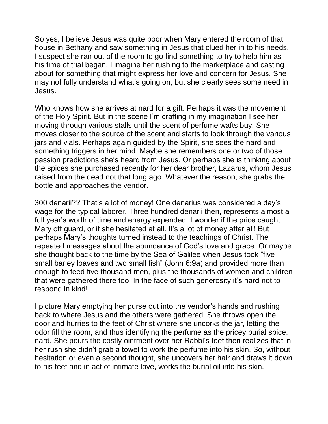So yes, I believe Jesus was quite poor when Mary entered the room of that house in Bethany and saw something in Jesus that clued her in to his needs. I suspect she ran out of the room to go find something to try to help him as his time of trial began. I imagine her rushing to the marketplace and casting about for something that might express her love and concern for Jesus. She may not fully understand what's going on, but she clearly sees some need in Jesus.

Who knows how she arrives at nard for a gift. Perhaps it was the movement of the Holy Spirit. But in the scene I'm crafting in my imagination I see her moving through various stalls until the scent of perfume wafts buy. She moves closer to the source of the scent and starts to look through the various jars and vials. Perhaps again guided by the Spirit, she sees the nard and something triggers in her mind. Maybe she remembers one or two of those passion predictions she's heard from Jesus. Or perhaps she is thinking about the spices she purchased recently for her dear brother, Lazarus, whom Jesus raised from the dead not that long ago. Whatever the reason, she grabs the bottle and approaches the vendor.

300 denarii?? That's a lot of money! One denarius was considered a day's wage for the typical laborer. Three hundred denarii then, represents almost a full year's worth of time and energy expended. I wonder if the price caught Mary off guard, or if she hesitated at all. It's a lot of money after all! But perhaps Mary's thoughts turned instead to the teachings of Christ. The repeated messages about the abundance of God's love and grace. Or maybe she thought back to the time by the Sea of Galilee when Jesus took "five small barley loaves and two small fish" (John 6:9a) and provided more than enough to feed five thousand men, plus the thousands of women and children that were gathered there too. In the face of such generosity it's hard not to respond in kind!

I picture Mary emptying her purse out into the vendor's hands and rushing back to where Jesus and the others were gathered. She throws open the door and hurries to the feet of Christ where she uncorks the jar, letting the odor fill the room, and thus identifying the perfume as the pricey burial spice, nard. She pours the costly ointment over her Rabbi's feet then realizes that in her rush she didn't grab a towel to work the perfume into his skin. So, without hesitation or even a second thought, she uncovers her hair and draws it down to his feet and in act of intimate love, works the burial oil into his skin.